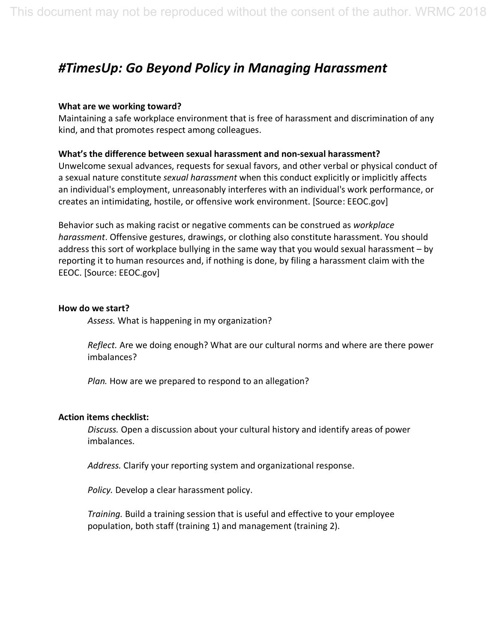# *#TimesUp: Go Beyond Policy in Managing Harassment*

### **What are we working toward?**

Maintaining a safe workplace environment that is free of harassment and discrimination of any kind, and that promotes respect among colleagues.

### **What's the difference between sexual harassment and non-sexual harassment?**

Unwelcome sexual advances, requests for sexual favors, and other verbal or physical conduct of a sexual nature constitute *sexual harassment* when this conduct explicitly or implicitly affects an individual's employment, unreasonably interferes with an individual's work performance, or creates an intimidating, hostile, or offensive work environment. [Source: EEOC.gov]

Behavior such as making racist or negative comments can be construed as *workplace harassment*. Offensive gestures, drawings, or clothing also constitute harassment. You should address this sort of workplace bullying in the same way that you would sexual harassment – by reporting it to human resources and, if nothing is done, by filing a harassment claim with the EEOC. [Source: EEOC.gov]

#### **How do we start?**

*Assess.* What is happening in my organization?

 *Reflect.* Are we doing enough? What are our cultural norms and where are there power imbalances?

*Plan.* How are we prepared to respond to an allegation?

#### **Action items checklist:**

 *Discuss.* Open a discussion about your cultural history and identify areas of power imbalances.

*Address.* Clarify your reporting system and organizational response.

*Policy.* Develop a clear harassment policy.

 *Training.* Build a training session that is useful and effective to your employee population, both staff (training 1) and management (training 2).